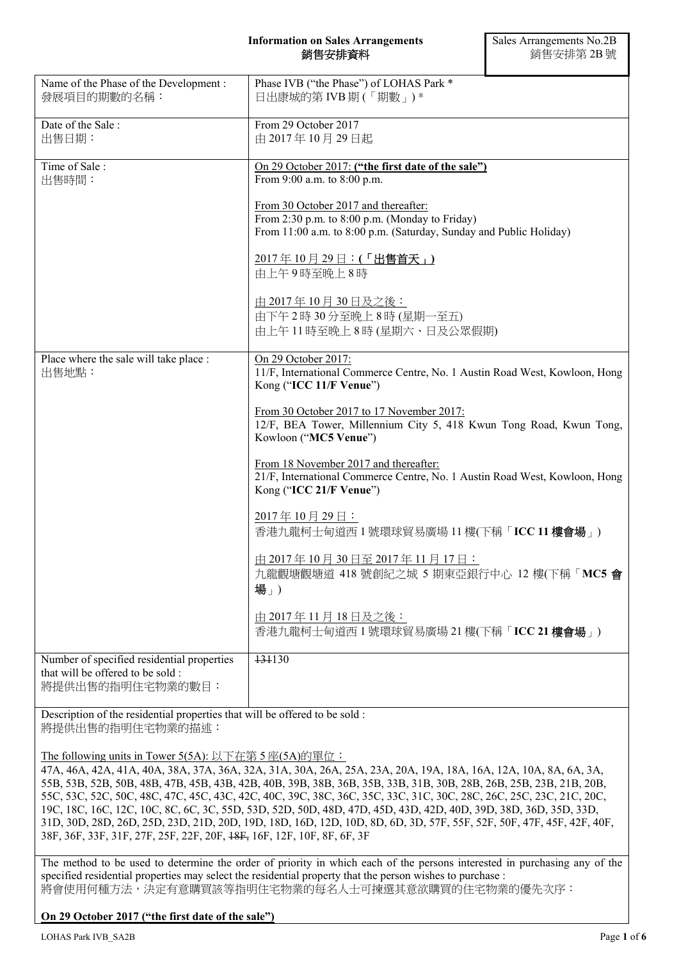#### **Information on Sales Arrangements**  銷售安排資料

| Name of the Phase of the Development :<br>發展項目的期數的名稱:                                              | Phase IVB ("the Phase") of LOHAS Park *<br>日出康城的第 IVB 期 (「期數」)*                                                                                              |  |
|----------------------------------------------------------------------------------------------------|--------------------------------------------------------------------------------------------------------------------------------------------------------------|--|
| Date of the Sale:<br>出售日期:                                                                         | From 29 October 2017<br>由 2017年10月29日起                                                                                                                       |  |
| Time of Sale:<br>出售時間:                                                                             | On 29 October 2017: ("the first date of the sale")<br>From 9:00 a.m. to 8:00 p.m.                                                                            |  |
|                                                                                                    | From 30 October 2017 and thereafter:<br>From 2:30 p.m. to 8:00 p.m. (Monday to Friday)<br>From 11:00 a.m. to 8:00 p.m. (Saturday, Sunday and Public Holiday) |  |
|                                                                                                    | 2017年10月29日: (「出售首天」)<br>由上午9時至晚上8時                                                                                                                          |  |
|                                                                                                    | <u>由 2017年10月30日及之後:</u><br>由下午2時30分至晚上8時(星期一至五)<br>由上午11時至晚上8時(星期六、日及公眾假期)                                                                                  |  |
| Place where the sale will take place :<br>出售地點:                                                    | On 29 October 2017:<br>11/F, International Commerce Centre, No. 1 Austin Road West, Kowloon, Hong<br>Kong ("ICC 11/F Venue")                                 |  |
|                                                                                                    | From 30 October 2017 to 17 November 2017:<br>12/F, BEA Tower, Millennium City 5, 418 Kwun Tong Road, Kwun Tong,<br>Kowloon ("MC5 Venue")                     |  |
|                                                                                                    | From 18 November 2017 and thereafter:<br>21/F, International Commerce Centre, No. 1 Austin Road West, Kowloon, Hong<br>Kong ("ICC 21/F Venue")               |  |
|                                                                                                    | 2017年10月29日:<br>香港九龍柯士甸道西1號環球貿易廣場 11樓(下稱「ICC 11樓會場」)                                                                                                         |  |
|                                                                                                    | 由 2017年10月30日至 2017年11月17日:<br>九龍觀塘觀塘道 418 號創紀之城 5 期東亞銀行中心 12 樓(下稱「MC5 會<br>場」)                                                                              |  |
|                                                                                                    | <u>由 2017年11月18日及之後:</u><br>香港九龍柯士甸道西1號環球貿易廣場 21樓(下稱「ICC 21樓會場」)                                                                                             |  |
| Number of specified residential properties<br>that will be offered to be sold:<br>將提供出售的指明住宅物業的數目: | 131130                                                                                                                                                       |  |

Description of the residential properties that will be offered to be sold : 將提供出售的指明住宅物業的描述:

The following units in Tower 5(5A): 以下在第 5 座(5A)的單位:

47A, 46A, 42A, 41A, 40A, 38A, 37A, 36A, 32A, 31A, 30A, 26A, 25A, 23A, 20A, 19A, 18A, 16A, 12A, 10A, 8A, 6A, 3A, 55B, 53B, 52B, 50B, 48B, 47B, 45B, 43B, 42B, 40B, 39B, 38B, 36B, 35B, 33B, 31B, 30B, 28B, 26B, 25B, 23B, 21B, 20B, 55C, 53C, 52C, 50C, 48C, 47C, 45C, 43C, 42C, 40C, 39C, 38C, 36C, 35C, 33C, 31C, 30C, 28C, 26C, 25C, 23C, 21C, 20C, 19C, 18C, 16C, 12C, 10C, 8C, 6C, 3C, 55D, 53D, 52D, 50D, 48D, 47D, 45D, 43D, 42D, 40D, 39D, 38D, 36D, 35D, 33D, 31D, 30D, 28D, 26D, 25D, 23D, 21D, 20D, 19D, 18D, 16D, 12D, 10D, 8D, 6D, 3D, 57F, 55F, 52F, 50F, 47F, 45F, 42F, 40F, 38F, 36F, 33F, 31F, 27F, 25F, 22F, 20F, 18F, 16F, 12F, 10F, 8F, 6F, 3F

The method to be used to determine the order of priority in which each of the persons interested in purchasing any of the specified residential properties may select the residential property that the person wishes to purchase : 將會使用何種方法,決定有意購買該等指明住宅物業的每名人士可揀選其意欲購買的住宅物業的優先次序:

### **On 29 October 2017 ("the first date of the sale")**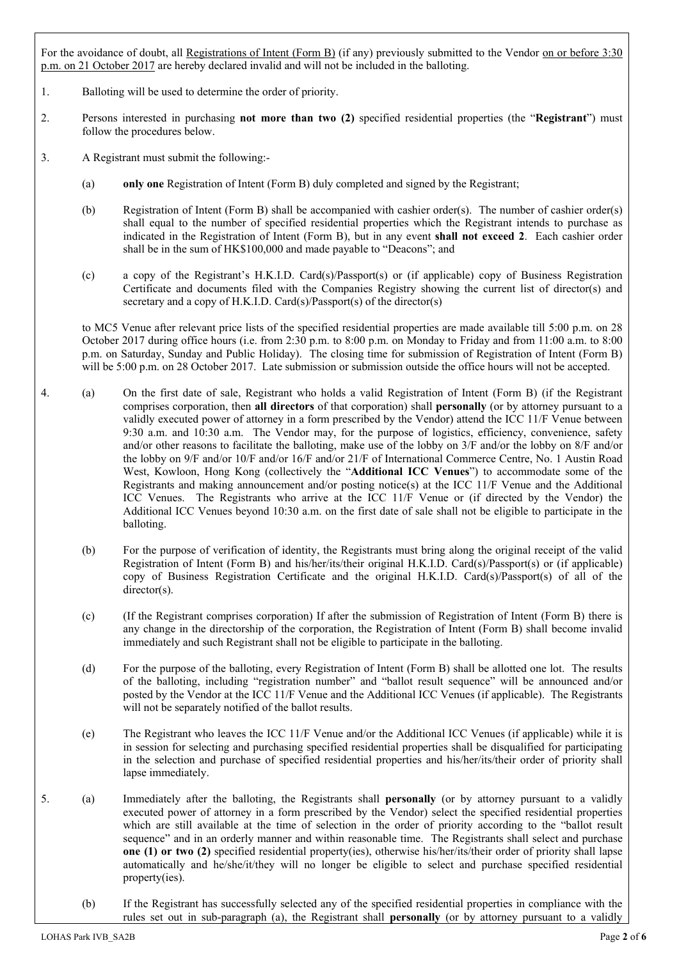For the avoidance of doubt, all Registrations of Intent (Form B) (if any) previously submitted to the Vendor on or before 3:30 p.m. on 21 October 2017 are hereby declared invalid and will not be included in the balloting.

- 1. Balloting will be used to determine the order of priority.
- 2. Persons interested in purchasing **not more than two (2)** specified residential properties (the "**Registrant**") must follow the procedures below.
- 3. A Registrant must submit the following:-
	- (a) **only one** Registration of Intent (Form B) duly completed and signed by the Registrant;
	- (b) Registration of Intent (Form B) shall be accompanied with cashier order(s). The number of cashier order(s) shall equal to the number of specified residential properties which the Registrant intends to purchase as indicated in the Registration of Intent (Form B), but in any event **shall not exceed 2**. Each cashier order shall be in the sum of HK\$100,000 and made payable to "Deacons"; and
	- (c) a copy of the Registrant's H.K.I.D. Card(s)/Passport(s) or (if applicable) copy of Business Registration Certificate and documents filed with the Companies Registry showing the current list of director(s) and secretary and a copy of H.K.I.D. Card(s)/Passport(s) of the director(s)

to MC5 Venue after relevant price lists of the specified residential properties are made available till 5:00 p.m. on 28 October 2017 during office hours (i.e. from 2:30 p.m. to 8:00 p.m. on Monday to Friday and from 11:00 a.m. to 8:00 p.m. on Saturday, Sunday and Public Holiday). The closing time for submission of Registration of Intent (Form B) will be 5:00 p.m. on 28 October 2017. Late submission or submission outside the office hours will not be accepted.

- 4. (a) On the first date of sale, Registrant who holds a valid Registration of Intent (Form B) (if the Registrant comprises corporation, then **all directors** of that corporation) shall **personally** (or by attorney pursuant to a validly executed power of attorney in a form prescribed by the Vendor) attend the ICC 11/F Venue between 9:30 a.m. and 10:30 a.m. The Vendor may, for the purpose of logistics, efficiency, convenience, safety and/or other reasons to facilitate the balloting, make use of the lobby on 3/F and/or the lobby on 8/F and/or the lobby on 9/F and/or 10/F and/or 16/F and/or 21/F of International Commerce Centre, No. 1 Austin Road West, Kowloon, Hong Kong (collectively the "**Additional ICC Venues**") to accommodate some of the Registrants and making announcement and/or posting notice(s) at the ICC 11/F Venue and the Additional ICC Venues. The Registrants who arrive at the ICC 11/F Venue or (if directed by the Vendor) the Additional ICC Venues beyond 10:30 a.m. on the first date of sale shall not be eligible to participate in the balloting.
	- (b) For the purpose of verification of identity, the Registrants must bring along the original receipt of the valid Registration of Intent (Form B) and his/her/its/their original H.K.I.D. Card(s)/Passport(s) or (if applicable) copy of Business Registration Certificate and the original H.K.I.D. Card(s)/Passport(s) of all of the director(s).
	- (c) (If the Registrant comprises corporation) If after the submission of Registration of Intent (Form B) there is any change in the directorship of the corporation, the Registration of Intent (Form B) shall become invalid immediately and such Registrant shall not be eligible to participate in the balloting.
	- (d) For the purpose of the balloting, every Registration of Intent (Form B) shall be allotted one lot. The results of the balloting, including "registration number" and "ballot result sequence" will be announced and/or posted by the Vendor at the ICC 11/F Venue and the Additional ICC Venues (if applicable). The Registrants will not be separately notified of the ballot results.
	- (e) The Registrant who leaves the ICC 11/F Venue and/or the Additional ICC Venues (if applicable) while it is in session for selecting and purchasing specified residential properties shall be disqualified for participating in the selection and purchase of specified residential properties and his/her/its/their order of priority shall lapse immediately.
- 5. (a) Immediately after the balloting, the Registrants shall **personally** (or by attorney pursuant to a validly executed power of attorney in a form prescribed by the Vendor) select the specified residential properties which are still available at the time of selection in the order of priority according to the "ballot result sequence" and in an orderly manner and within reasonable time. The Registrants shall select and purchase **one (1) or two (2)** specified residential property(ies), otherwise his/her/its/their order of priority shall lapse automatically and he/she/it/they will no longer be eligible to select and purchase specified residential property(ies).
	- (b) If the Registrant has successfully selected any of the specified residential properties in compliance with the rules set out in sub-paragraph (a), the Registrant shall **personally** (or by attorney pursuant to a validly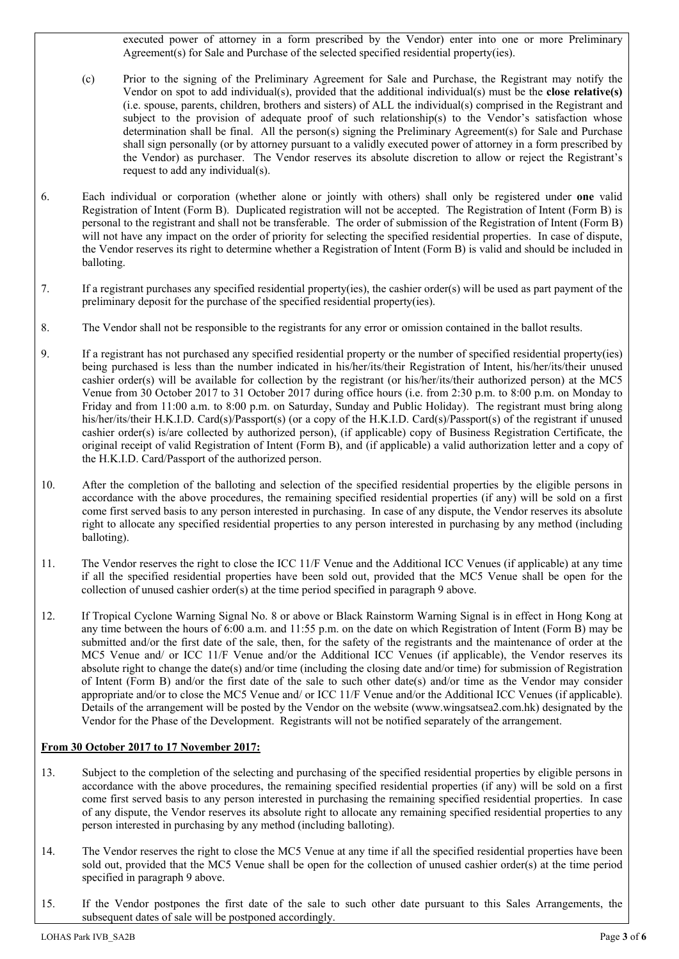executed power of attorney in a form prescribed by the Vendor) enter into one or more Preliminary Agreement(s) for Sale and Purchase of the selected specified residential property(ies).

- (c) Prior to the signing of the Preliminary Agreement for Sale and Purchase, the Registrant may notify the Vendor on spot to add individual(s), provided that the additional individual(s) must be the **close relative(s)**  (i.e. spouse, parents, children, brothers and sisters) of ALL the individual(s) comprised in the Registrant and subject to the provision of adequate proof of such relationship(s) to the Vendor's satisfaction whose determination shall be final. All the person(s) signing the Preliminary Agreement(s) for Sale and Purchase shall sign personally (or by attorney pursuant to a validly executed power of attorney in a form prescribed by the Vendor) as purchaser. The Vendor reserves its absolute discretion to allow or reject the Registrant's request to add any individual(s).
- 6. Each individual or corporation (whether alone or jointly with others) shall only be registered under **one** valid Registration of Intent (Form B). Duplicated registration will not be accepted. The Registration of Intent (Form B) is personal to the registrant and shall not be transferable. The order of submission of the Registration of Intent (Form B) will not have any impact on the order of priority for selecting the specified residential properties. In case of dispute, the Vendor reserves its right to determine whether a Registration of Intent (Form B) is valid and should be included in balloting.
- 7. If a registrant purchases any specified residential property(ies), the cashier order(s) will be used as part payment of the preliminary deposit for the purchase of the specified residential property(ies).
- 8. The Vendor shall not be responsible to the registrants for any error or omission contained in the ballot results.
- 9. If a registrant has not purchased any specified residential property or the number of specified residential property(ies) being purchased is less than the number indicated in his/her/its/their Registration of Intent, his/her/its/their unused cashier order(s) will be available for collection by the registrant (or his/her/its/their authorized person) at the MC5 Venue from 30 October 2017 to 31 October 2017 during office hours (i.e. from 2:30 p.m. to 8:00 p.m. on Monday to Friday and from 11:00 a.m. to 8:00 p.m. on Saturday, Sunday and Public Holiday). The registrant must bring along his/her/its/their H.K.I.D. Card(s)/Passport(s) (or a copy of the H.K.I.D. Card(s)/Passport(s) of the registrant if unused cashier order(s) is/are collected by authorized person), (if applicable) copy of Business Registration Certificate, the original receipt of valid Registration of Intent (Form B), and (if applicable) a valid authorization letter and a copy of the H.K.I.D. Card/Passport of the authorized person.
- 10. After the completion of the balloting and selection of the specified residential properties by the eligible persons in accordance with the above procedures, the remaining specified residential properties (if any) will be sold on a first come first served basis to any person interested in purchasing. In case of any dispute, the Vendor reserves its absolute right to allocate any specified residential properties to any person interested in purchasing by any method (including balloting).
- 11. The Vendor reserves the right to close the ICC 11/F Venue and the Additional ICC Venues (if applicable) at any time if all the specified residential properties have been sold out, provided that the MC5 Venue shall be open for the collection of unused cashier order(s) at the time period specified in paragraph 9 above.
- 12. If Tropical Cyclone Warning Signal No. 8 or above or Black Rainstorm Warning Signal is in effect in Hong Kong at any time between the hours of 6:00 a.m. and 11:55 p.m. on the date on which Registration of Intent (Form B) may be submitted and/or the first date of the sale, then, for the safety of the registrants and the maintenance of order at the MC5 Venue and/ or ICC 11/F Venue and/or the Additional ICC Venues (if applicable), the Vendor reserves its absolute right to change the date(s) and/or time (including the closing date and/or time) for submission of Registration of Intent (Form B) and/or the first date of the sale to such other date(s) and/or time as the Vendor may consider appropriate and/or to close the MC5 Venue and/ or ICC 11/F Venue and/or the Additional ICC Venues (if applicable). Details of the arrangement will be posted by the Vendor on the website (www.wingsatsea2.com.hk) designated by the Vendor for the Phase of the Development. Registrants will not be notified separately of the arrangement.

# **From 30 October 2017 to 17 November 2017:**

- 13. Subject to the completion of the selecting and purchasing of the specified residential properties by eligible persons in accordance with the above procedures, the remaining specified residential properties (if any) will be sold on a first come first served basis to any person interested in purchasing the remaining specified residential properties. In case of any dispute, the Vendor reserves its absolute right to allocate any remaining specified residential properties to any person interested in purchasing by any method (including balloting).
- 14. The Vendor reserves the right to close the MC5 Venue at any time if all the specified residential properties have been sold out, provided that the MC5 Venue shall be open for the collection of unused cashier order(s) at the time period specified in paragraph 9 above.
- 15. If the Vendor postpones the first date of the sale to such other date pursuant to this Sales Arrangements, the subsequent dates of sale will be postponed accordingly.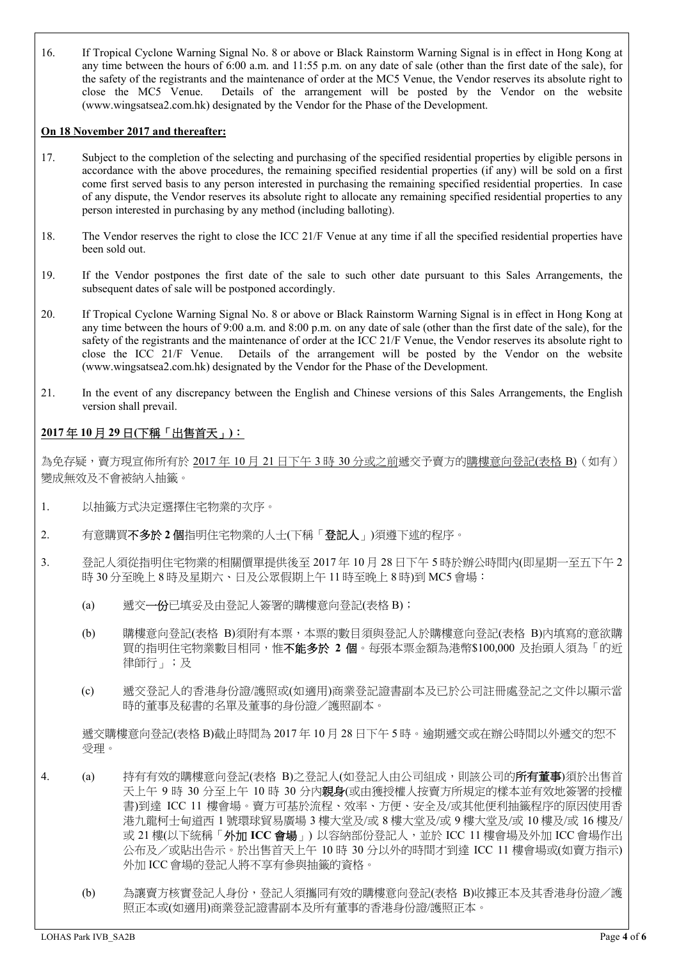16. If Tropical Cyclone Warning Signal No. 8 or above or Black Rainstorm Warning Signal is in effect in Hong Kong at any time between the hours of 6:00 a.m. and 11:55 p.m. on any date of sale (other than the first date of the sale), for the safety of the registrants and the maintenance of order at the MC5 Venue, the Vendor reserves its absolute right to close the MC5 Venue. Details of the arrangement will be posted by the Vendor on the website (www.wingsatsea2.com.hk) designated by the Vendor for the Phase of the Development.

#### **On 18 November 2017 and thereafter:**

- 17. Subject to the completion of the selecting and purchasing of the specified residential properties by eligible persons in accordance with the above procedures, the remaining specified residential properties (if any) will be sold on a first come first served basis to any person interested in purchasing the remaining specified residential properties. In case of any dispute, the Vendor reserves its absolute right to allocate any remaining specified residential properties to any person interested in purchasing by any method (including balloting).
- 18. The Vendor reserves the right to close the ICC 21/F Venue at any time if all the specified residential properties have been sold out.
- 19. If the Vendor postpones the first date of the sale to such other date pursuant to this Sales Arrangements, the subsequent dates of sale will be postponed accordingly.
- 20. If Tropical Cyclone Warning Signal No. 8 or above or Black Rainstorm Warning Signal is in effect in Hong Kong at any time between the hours of 9:00 a.m. and 8:00 p.m. on any date of sale (other than the first date of the sale), for the safety of the registrants and the maintenance of order at the ICC 21/F Venue, the Vendor reserves its absolute right to close the ICC 21/F Venue. Details of the arrangement will be posted by the Vendor on the website (www.wingsatsea2.com.hk) designated by the Vendor for the Phase of the Development.
- 21. In the event of any discrepancy between the English and Chinese versions of this Sales Arrangements, the English version shall prevail.

# **2017** 年 **10** 月 **29** 日**(**下稱「出售首天」**)**:

為免存疑,賣方現宣佈所有於 2017 年 10 月 21 日下午 3 時 30 分或之前遞交予賣方的購樓意向登記(表格 B) (如有) 變成無效及不會被納入抽籤。

- 1. 以抽籤方式決定選擇住宅物業的次序。
- 2. 有意購買不多於 **2** 個指明住宅物業的人士(下稱「登記人」)須遵下述的程序。
- 3. 登記人須從指明住宅物業的相關價單提供後至 2017 年 10 月 28 日下午 5 時於辦公時間內(即星期一至五下午 2 時 30 分至晚上 8 時及星期六、日及公眾假期上午 11 時至晚上 8 時)到 MC5 會場:
	- (a) 遞交一份已填妥及由登記人簽署的購樓意向登記(表格 B);
	- (b) 購樓意向登記(表格 B)須附有本票,本票的數目須與登記人於購樓意向登記(表格 B)內填寫的意欲購 買的指明住宅物業數目相同,惟不能多於 **2** 個。每張本票金額為港幣\$100,000 及抬頭人須為「的近 律師行」;及
	- (c) 遞交登記人的香港身份證/護照或(如適用)商業登記證書副本及已於公司註冊處登記之文件以顯示當 時的董事及秘書的名單及董事的身份證/護照副本。

遞交購樓意向登記(表格 B)截止時間為 2017 年 10 月 28 日下午 5 時。逾期遞交或在辦公時間以外遞交的恕不 受理。

- 4. (a) 持有有效的購樓意向登記(表格 B)之登記人(如登記人由公司組成,則該公司的**所有董事**)須於出售首 天上午 9 時 30 分至上午 10 時 30 分內親身(或由獲授權人按賣方所規定的樣本並有效地簽署的授權 書)到達 ICC 11 樓會場。賣方可基於流程、效率、方便、安全及/或其他便利抽籤程序的原因使用香 港九龍柯士甸道西 1 號環球貿易廣場 3 樓大堂及/或 8 樓大堂及/或 9 樓大堂及/或 10 樓及/或 16 樓及/ 或 21 樓(以下統稱「外加 ICC 會場」)以容納部份登記人,並於 ICC 11 樓會場及外加 ICC 會場作出 公布及/或貼出告示。於出售首天上午 10 時 30 分以外的時間才到達 ICC 11 樓會場或(如賣方指示) 外加 ICC 會場的登記人將不享有參與抽籤的資格。
	- (b) 為讓賣方核實登記人身份,登記人須攜同有效的購樓意向登記(表格 B)收據正本及其香港身份證/護 照正本或(如適用)商業登記證書副本及所有董事的香港身份證/護照正本。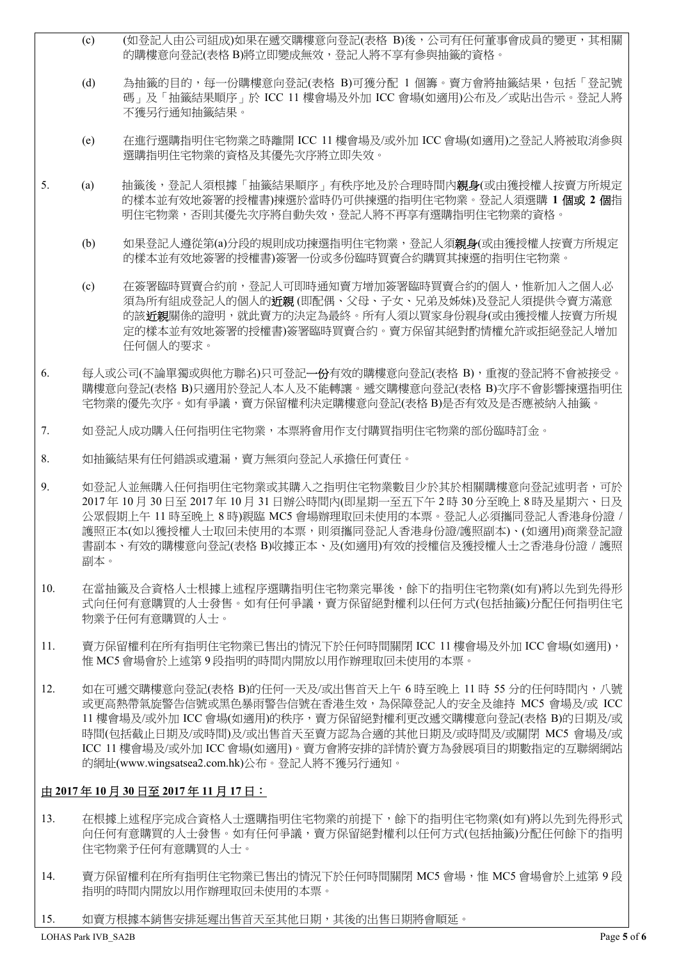- (c) (如登記人由公司組成)如果在遞交購樓意向登記(表格 B)後,公司有任何董事會成員的變更,其相關 的購樓意向登記(表格 B)將立即變成無效,登記人將不享有參與抽籤的資格。
- (d) 為抽籤的目的,每一份購樓意向登記(表格 B)可獲分配 1 個籌。賣方會將抽籤結果,包括「登記號 碼」及「抽籤結果順序」於 ICC 11 樓會場及外加 ICC 會場(如適用)公布及/或貼出告示。登記人將 不獲另行通知抽籤結果。
- (e) 在進行選購指明住宅物業之時離開 ICC 11 樓會場及/或外加 ICC 會場(如適用)之登記人將被取消參與 選購指明住宅物業的資格及其優先次序將立即失效。
- 5. (a) 抽籤後,登記人須根據「抽籤結果順序」有秩序地及於合理時間內**親身**(或由獲授權人按賣方所規定 的樣本並有效地簽署的授權書)揀選於當時仍可供揀選的指明住宅物業。登記人須選購 **1** 個或 **2** 個指 明住宅物業,否則其優先次序將自動失效,登記人將不再享有選購指明住宅物業的資格。
	- (b) 如果登記人遵從第(a)分段的規則成功揀選指明住宅物業,登記人須親身(或由獲授權人按賣方所規定 的樣本並有效地簽署的授權書)簽署一份或多份臨時買賣合約購買其揀選的指明住宅物業。
	- (c) 在簽署臨時買賣合約前,登記人可即時通知賣方增加簽署臨時買賣合約的個人,惟新加入之個人必 須為所有組成登記人的個人的**近親** (即配偶、父母、子女、兄弟及姊妹)及登記人須提供令賣方滿意 的該近親關係的證明,就此賣方的決定為最終。所有人須以買家身份親身(或由獲授權人按賣方所規 定的樣本並有效地簽署的授權書)簽署臨時買賣合約。賣方保留其絕對酌情權允許或拒絕登記人增加 任何個人的要求。
- 6. 每人或公司(不論單獨或與他方聯名)只可登記一份有效的購樓意向登記(表格 B),重複的登記將不會被接受。 購樓意向登記(表格 B)只適用於登記人本人及不能轉讓。遞交購樓意向登記(表格 B)次序不會影響揀選指明住 宅物業的優先次序。如有爭議,賣方保留權利決定購樓意向登記(表格 B)是否有效及是否應被納入抽籤。
- 7. 如登記人成功購入任何指明住宅物業,本票將會用作支付購買指明住宅物業的部份臨時訂金。
- 8. 如抽籤結果有任何錯誤或遺漏,賣方無須向登記人承擔任何責任。
- 9. 如登記人並無購入任何指明住宅物業或其購入之指明住宅物業數目少於其於相關購樓意向登記述明者,可於 2017 年 10 月 30 日至 2017 年 10 月 31 日辦公時間內(即星期一至五下午 2 時 30 分至晚上 8 時及星期六、日及 公眾假期上午 11 時至晚上 8 時)親臨 MC5 會場辦理取回未使用的本票。登記人必須攜同登記人香港身份證 / 護照正本(如以獲授權人士取回未使用的本票,則須攜同登記人香港身份證/護照副本)、(如適用)商業登記證 書副本、有效的購樓意向登記(表格 B)收據正本、及(如適用)有效的授權信及獲授權人士之香港身份證 / 護照 副本。
- 10. 在當抽籤及合資格人士根據上述程序選購指明住宅物業完畢後,餘下的指明住宅物業(如有)將以先到先得形 式向任何有意購買的人士發售。如有任何爭議,賣方保留絕對權利以任何方式(包括抽籤)分配任何指明住宅 物業予任何有意購買的人士。
- 11. 賣方保留權利在所有指明住宅物業已售出的情況下於任何時間關閉 ICC 11 樓會場及外加 ICC 會場(如適用), 惟 MC5 會場會於上述第 9 段指明的時間内開放以用作辦理取回未使用的本票。
- 12. 如在可遞交購樓意向登記(表格 B)的任何一天及/或出售首天上午 6 時至晚上 11 時 55 分的任何時間内,八號 或更高熱帶氣旋警告信號或黑色暴雨警告信號在香港生效,為保障登記人的安全及維持 MC5 會場及/或 ICC 11 樓會場及/或外加 ICC 會場(如適用)的秩序,賣方保留絕對權利更改遞交購樓意向登記(表格 B)的日期及/或 時間(包括截止日期及/或時間)及/或出售首天至賣方認為合適的其他日期及/或時間及/或關閉 MC5 會場及/或 ICC 11 樓會場及/或外加 ICC 會場(如適用)。賣方會將安排的詳情於賣方為發展項目的期數指定的互聯網網站 的網址(www.wingsatsea2.com.hk)公布。登記人將不獲另行通知。

### 由 **2017** 年 **10** 月 **30** 日至 **2017** 年 **11** 月 **17** 日:

- 13. 在根據上述程序完成合資格人士選購指明住宅物業的前提下,餘下的指明住宅物業(如有)將以先到先得形式 向任何有意購買的人士發售。如有任何爭議,賣方保留絕對權利以任何方式(包括抽籤)分配任何餘下的指明 住宅物業予任何有意購買的人士。
- 14. 賣方保留權利在所有指明住宅物業已售出的情況下於任何時間關閉 MC5 會場,惟 MC5 會場會於上述第9段 指明的時間内開放以用作辦理取回未使用的本票。
- 15. 如賣方根據本銷售安排延遲出售首天至其他日期,其後的出售日期將會順延。